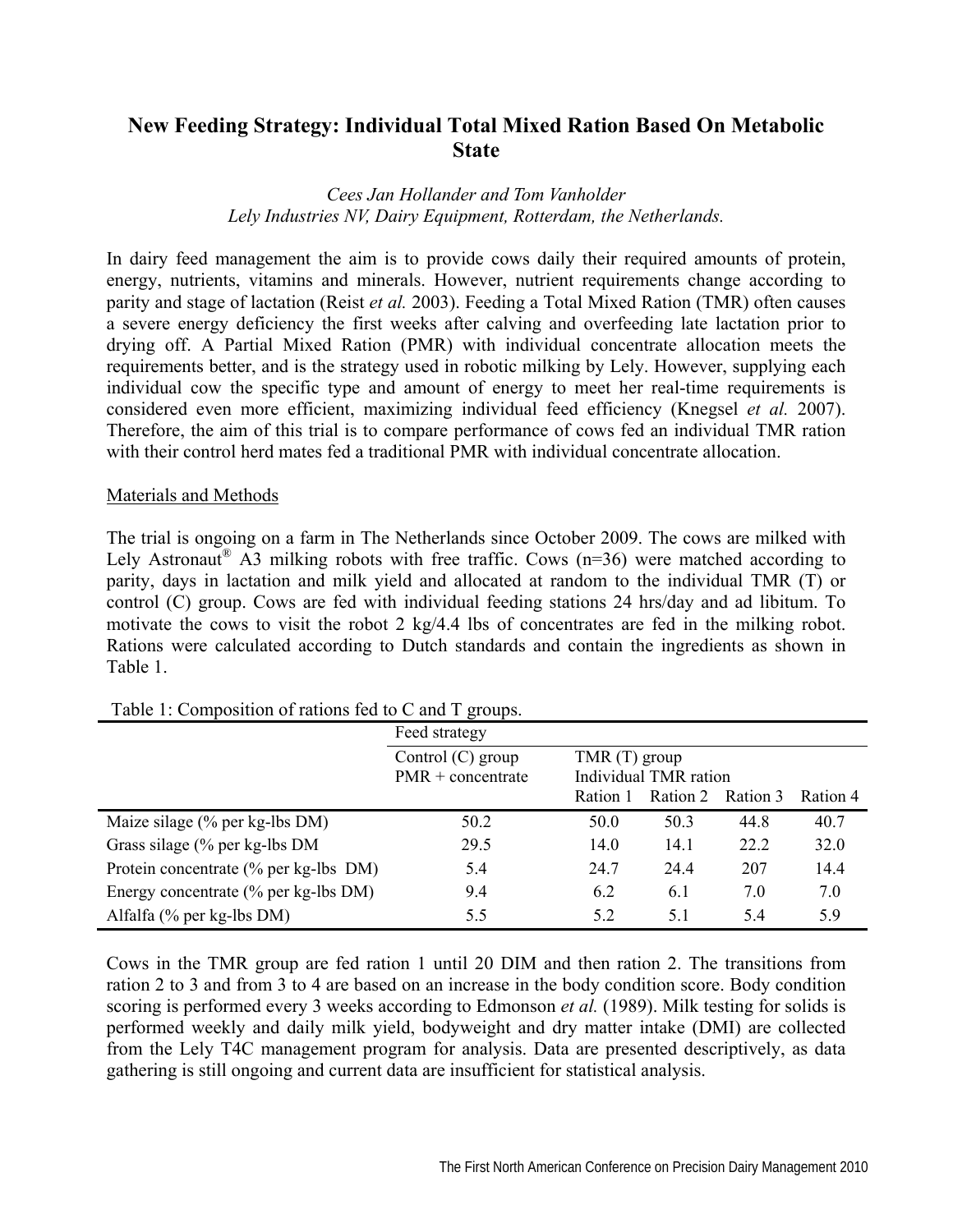# **New Feeding Strategy: Individual Total Mixed Ration Based On Metabolic State**

### *Cees Jan Hollander and Tom Vanholder Lely Industries NV, Dairy Equipment, Rotterdam, the Netherlands.*

In dairy feed management the aim is to provide cows daily their required amounts of protein, energy, nutrients, vitamins and minerals. However, nutrient requirements change according to parity and stage of lactation (Reist *et al.* 2003). Feeding a Total Mixed Ration (TMR) often causes a severe energy deficiency the first weeks after calving and overfeeding late lactation prior to drying off. A Partial Mixed Ration (PMR) with individual concentrate allocation meets the requirements better, and is the strategy used in robotic milking by Lely. However, supplying each individual cow the specific type and amount of energy to meet her real-time requirements is considered even more efficient, maximizing individual feed efficiency (Knegsel *et al.* 2007). Therefore, the aim of this trial is to compare performance of cows fed an individual TMR ration with their control herd mates fed a traditional PMR with individual concentrate allocation.

#### Materials and Methods

The trial is ongoing on a farm in The Netherlands since October 2009. The cows are milked with Lely Astronaut<sup>®</sup> A3 milking robots with free traffic. Cows ( $n=36$ ) were matched according to parity, days in lactation and milk yield and allocated at random to the individual TMR (T) or control (C) group. Cows are fed with individual feeding stations 24 hrs/day and ad libitum. To motivate the cows to visit the robot 2 kg/4.4 lbs of concentrates are fed in the milking robot. Rations were calculated according to Dutch standards and contain the ingredients as shown in Table 1.

|                                       | Feed strategy       |                                         |          |          |          |  |  |
|---------------------------------------|---------------------|-----------------------------------------|----------|----------|----------|--|--|
|                                       | Control $(C)$ group | $TMR(T)$ group<br>Individual TMR ration |          |          |          |  |  |
|                                       | $PMR$ + concentrate |                                         |          |          |          |  |  |
|                                       |                     | Ration 1                                | Ration 2 | Ration 3 | Ration 4 |  |  |
| Maize silage (% per kg-lbs DM)        | 50.2                | 50.0                                    | 50.3     | 44.8     | 40.7     |  |  |
| Grass silage $%$ per kg-lbs DM        | 29.5                | 14.0                                    | 14.1     | 22.2     | 32.0     |  |  |
| Protein concentrate (% per kg-lbs DM) | 5.4                 | 24.7                                    | 24.4     | 207      | 14.4     |  |  |
| Energy concentrate (% per kg-lbs DM)  | 9.4                 | 6.2                                     | 6.1      | 7.0      | 7.0      |  |  |
| Alfalfa (% per kg-lbs DM)             | 5.5                 | 5.2                                     | 5.1      | 5.4      | 5.9      |  |  |

## Table 1: Composition of rations fed to  $C$  and  $T$  groups.

Cows in the TMR group are fed ration 1 until 20 DIM and then ration 2. The transitions from ration 2 to 3 and from 3 to 4 are based on an increase in the body condition score. Body condition scoring is performed every 3 weeks according to Edmonson *et al.* (1989). Milk testing for solids is performed weekly and daily milk yield, bodyweight and dry matter intake (DMI) are collected from the Lely T4C management program for analysis. Data are presented descriptively, as data gathering is still ongoing and current data are insufficient for statistical analysis.